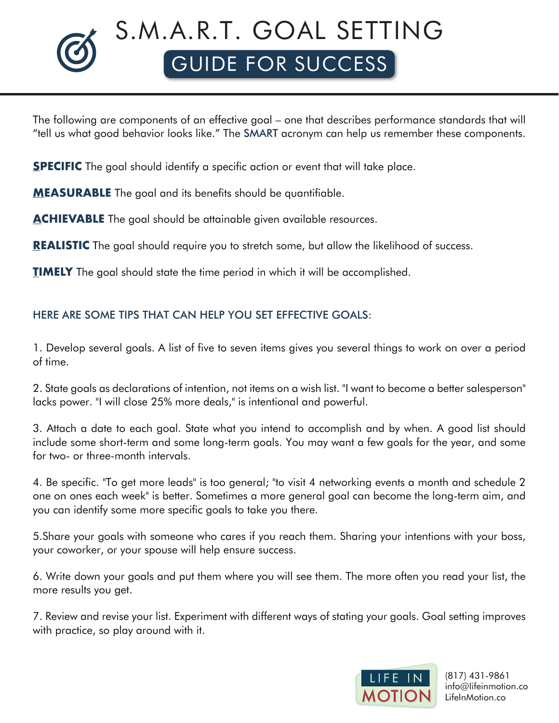

The following are components of an effective goal – one that describes performance standards that will "tell us what good behavior looks like." The SMART acronym can help us remember these components.

**SPECIFIC** The goal should identify a specific action or event that will take place.

**MEASURABLE** The goal and its benefits should be quantifiable.

**ACHIEVABLE** The goal should be attainable given available resources.

**REALISTIC** The goal should require you to stretch some, but allow the likelihood of success.

**TIMELY** The goal should state the time period in which it will be accomplished.

## HERE ARE SOME TIPS THAT CAN HELP YOU SET EFFECTIVE GOALS:

1. Develop several goals. A list of five to seven items gives you several things to work on over a period of time.

2. State goals as declarations of intention, not items on a wish list. "I want to become a better salesperson" lacks power. "I will close 25% more deals," is intentional and powerful.

3. Attach a date to each goal. State what you intend to accomplish and by when. A good list should include some short-term and some long-term goals. You may want a few goals for the year, and some for two- or three-month intervals.

4. Be specific. "To get more leads" is too general; "to visit 4 networking events a month and schedule 2 one on ones each week" is better. Sometimes a more general goal can become the long-term aim, and you can identify some more specific goals to take you there.

5.Share your goals with someone who cares if you reach them. Sharing your intentions with your boss, your coworker, or your spouse will help ensure success.

6. Write down your goals and put them where you will see them. The more often you read your list, the more results you get.

7. Review and revise your list. Experiment with different ways of stating your goals. Goal setting improves with practice, so play around with it.



(817) 431-9861 info@lifeinmotion.co LifeInMotion.co